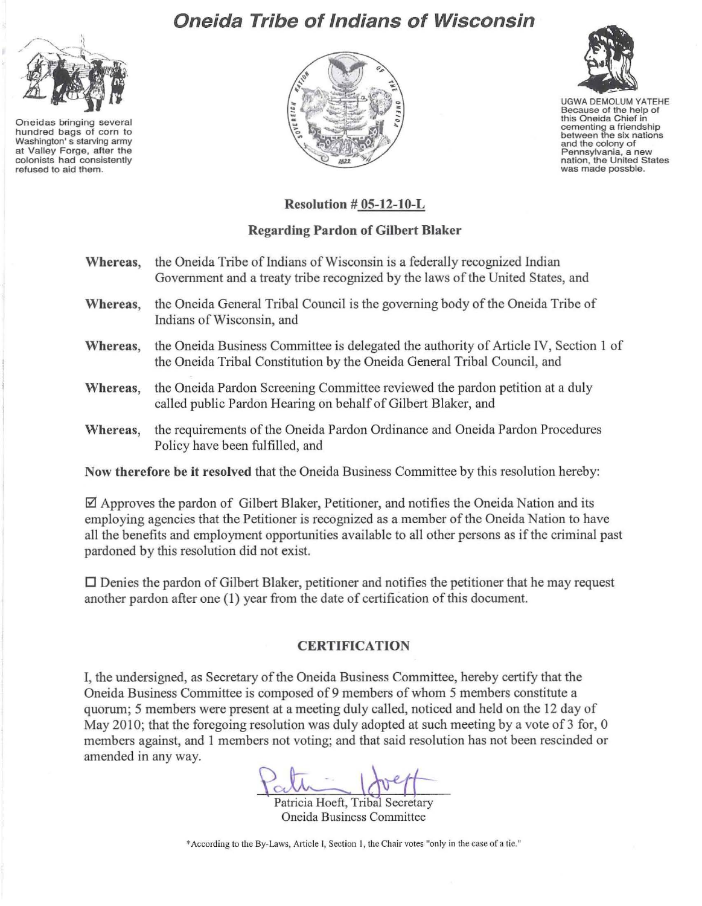

Oneidas bringing several hundred bags of corn to Washington' 5 starving army at Valley Forge, after the colonists had consistently refused to aid them.

## Oneida Tribe of Indians of Wisconsin





UGWA DEMOLUM YATEHE Because of the help of<br>this Oneida Chief in cementing a friendship<br>between the six nations and the colony of Pennsylvania, a new<br>nation, the United States was made possble.

## Resolution # OS-12-lO-L

## Regarding Pardon of Gilbert Blaker

- Whereas, the Oneida Tribe of Indians of Wisconsin is a federally recognized Indian Government and a treaty tribe recognized by the laws of the United States, and Whereas, the Oneida General Tribal Council is the governing body of the Oneida Tribe of Indians of Wisconsin, and Whereas, the Oneida Business Committee is delegated the authority of Article IV, Section 1 of the Oneida Tribal Constitution by the Oneida General Tribal Council, and
- Whereas, the Oneida Pardon Screening Committee reviewed the pardon petition at a duly called public Pardon Hearing on behalf of Gilbert Blaker, and
- Whereas, the requirements of the Oneida Pardon Ordinance and Oneida Pardon Procedures Policy have been fulfilled, and

Now therefore be it resolved that the Oneida Business Committee by this resolution hereby:

 $\boxtimes$  Approves the pardon of Gilbert Blaker, Petitioner, and notifies the Oneida Nation and its employing agencies that the Petitioner is recognized as a member of the Oneida Nation to have all the benefits and employment opportunities available to all other persons as if the criminal past pardoned by this resolution did not exist.

 $\Box$  Denies the pardon of Gilbert Blaker, petitioner and notifies the petitioner that he may request another pardon after one (I) year from the date of certification ofthis document.

## **CERTIFICATION**

I, the undersigned, as Secretary of the Oneida Business Committee, hereby certify that the Oneida Business Committee is composed of 9 members of whom 5 members constitute a quorum; 5 members were present at a meeting duly called, noticed and held on the 12 day of May 2010; that the foregoing resolution was duly adopted at such meeting by a vote of  $3$  for, 0 members against, and I members not voting; and that said resolution has not been rescinded or amended in any way.

 $d\tau = 1$ 

Patricia Hoeft, Tribal Secretary Oneida Business Committee

"According to the By-Laws. Article I, Section 1, the Chair votes "only in the case of a tic."